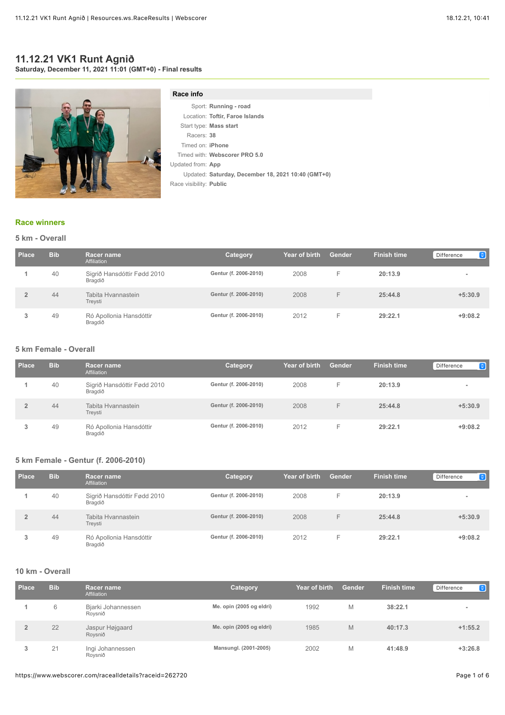#### **11.12.21 VK1 Runt Agnið Saturday, December 11, 2021 11:01 (GMT+0) - Final results**



### **Race info**

|                         | Sport: Running - road                              |
|-------------------------|----------------------------------------------------|
|                         | Location: Toftir, Faroe Islands                    |
|                         | Start type: Mass start                             |
| Racers: 38              |                                                    |
| Timed on: <b>iPhone</b> |                                                    |
|                         | Timed with: Webscorer PRO 5.0                      |
| Updated from: App       |                                                    |
|                         | Updated: Saturday, December 18, 2021 10:40 (GMT+0) |
| Race visibility: Public |                                                    |
|                         |                                                    |

#### **[Race winners](https://www.webscorer.com/race?raceid=262720)**

### **5 km - Overall**

| Place | <b>Bib</b> | <b>Racer name</b><br>Affiliation       | Category              | Year of birth | <b>Gender</b> | <b>Finish time</b> | $\bullet$<br>Difference |
|-------|------------|----------------------------------------|-----------------------|---------------|---------------|--------------------|-------------------------|
|       | 40         | Sigrið Hansdóttir Fødd 2010<br>Bragdið | Gentur (f. 2006-2010) | 2008          | н.            | 20:13.9            |                         |
|       | 44         | Tabita Hvannastein<br>Treysti          | Gentur (f. 2006-2010) | 2008          | н.            | 25:44.8            | $+5:30.9$               |
|       | 49         | Ró Apollonia Hansdóttir<br>Bragdið     | Gentur (f. 2006-2010) | 2012          | E             | 29:22.1            | $+9:08.2$               |

# **5 km Female - Overall**

| Place | <b>Bib</b> | <b>Racer name</b><br>Affiliation       | Category              | Year of birth | Gender | <b>Finish time</b> | $\bullet$<br>Difference |
|-------|------------|----------------------------------------|-----------------------|---------------|--------|--------------------|-------------------------|
|       | 40         | Sigrið Hansdóttir Fødd 2010<br>Bragdið | Gentur (f. 2006-2010) | 2008          | -      | 20:13.9            |                         |
|       | 44         | Tabita Hyannastein<br>Treysti          | Gentur (f. 2006-2010) | 2008          | F      | 25:44.8            | $+5:30.9$               |
|       | 49         | Ró Apollonia Hansdóttir<br>Bragdið     | Gentur (f. 2006-2010) | 2012          | н.     | 29:22.1            | $+9:08.2$               |

#### **5 km Female - Gentur (f. 2006-2010)**

| <b>Place</b> | <b>Bib</b> | Racer name<br>Affiliation              | Category              | Year of birth | Gender | <b>Finish time</b> | $\bullet$<br>Difference |
|--------------|------------|----------------------------------------|-----------------------|---------------|--------|--------------------|-------------------------|
|              | 40         | Sigrið Hansdóttir Fødd 2010<br>Bragdið | Gentur (f. 2006-2010) | 2008          | ⊢      | 20:13.9            | $\blacksquare$          |
|              | 44         | Tabita Hvannastein<br>Treysti          | Gentur (f. 2006-2010) | 2008          |        | 25:44.8            | $+5:30.9$               |
|              | 49         | Ró Apollonia Hansdóttir<br>Bragdið     | Gentur (f. 2006-2010) | 2012          |        | 29:22.1            | $+9:08.2$               |

#### **10 km - Overall**

| Place | <b>Bib</b> | Racer name<br>Affiliation     | Category                 | Year of birth | Gender | <b>Finish time</b> | Θ<br>Difference |
|-------|------------|-------------------------------|--------------------------|---------------|--------|--------------------|-----------------|
|       | 6          | Bjarki Johannessen<br>Roysnið | Me. opin (2005 og eldri) | 1992          | М      | 38:22.1            |                 |
|       | 22         | Jaspur Højgaard<br>Roysnið    | Me. opin (2005 og eldri) | 1985          | M      | 40:17.3            | $+1:55.2$       |
|       | 21         | Ingi Johannessen<br>Rovsnið   | Mansungl. (2001-2005)    | 2002          | M      | 41:48.9            | $+3:26.8$       |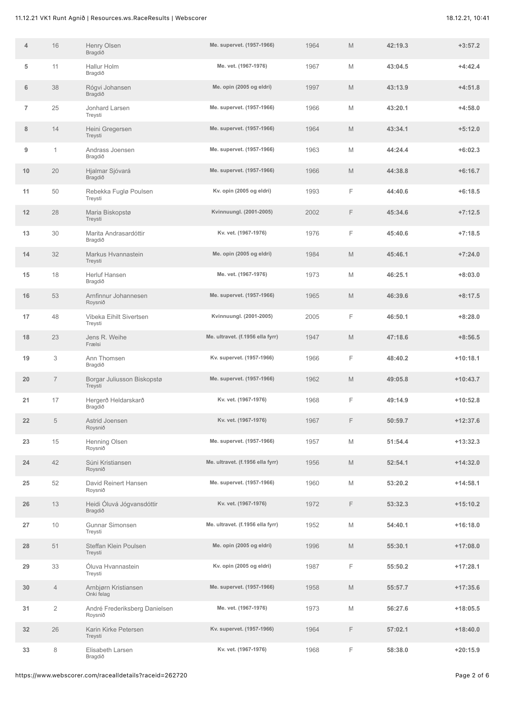| 4              | 16             | Henry Olsen<br>Bragdið                   | Me. supervet. (1957-1966)        | 1964 | M           | 42:19.3 | $+3:57.2$  |
|----------------|----------------|------------------------------------------|----------------------------------|------|-------------|---------|------------|
| 5              | 11             | Hallur Holm<br>Bragdið                   | Me. vet. (1967-1976)             | 1967 | M           | 43:04.5 | $+4:42.4$  |
| 6              | 38             | Rógvi Johansen<br>Bragdið                | Me. opin (2005 og eldri)         | 1997 | M           | 43:13.9 | $+4:51.8$  |
| $\overline{7}$ | 25             | Jonhard Larsen<br>Treysti                | Me. supervet. (1957-1966)        | 1966 | M           | 43:20.1 | $+4:58.0$  |
| 8              | 14             | Heini Gregersen<br>Treysti               | Me. supervet. (1957-1966)        | 1964 | M           | 43:34.1 | $+5:12.0$  |
| 9              | $\mathbf{1}$   | Andrass Joensen<br>Bragdið               | Me. supervet. (1957-1966)        | 1963 | M           | 44:24.4 | $+6:02.3$  |
| 10             | 20             | Hjalmar Sjóvará<br>Bragdið               | Me. supervet. (1957-1966)        | 1966 | M           | 44:38.8 | $+6:16.7$  |
| 11             | 50             | Rebekka Fuglø Poulsen<br>Treysti         | Kv. opin (2005 og eldri)         | 1993 | F           | 44:40.6 | $+6:18.5$  |
| 12             | 28             | Maria Biskopstø<br>Treysti               | Kvinnuungl. (2001-2005)          | 2002 | F           | 45:34.6 | $+7:12.5$  |
| 13             | 30             | Marita Andrasardóttir<br>Bragdið         | Kv. vet. (1967-1976)             | 1976 | F           | 45:40.6 | $+7:18.5$  |
| 14             | 32             | Markus Hvannastein<br>Treysti            | Me. opin (2005 og eldri)         | 1984 | M           | 45:46.1 | $+7:24.0$  |
| 15             | 18             | Herluf Hansen<br>Bragdið                 | Me. vet. (1967-1976)             | 1973 | M           | 46:25.1 | $+8:03.0$  |
| 16             | 53             | Arnfinnur Johannesen<br>Roysnið          | Me. supervet. (1957-1966)        | 1965 | M           | 46:39.6 | $+8:17.5$  |
| 17             | 48             | Vibeka Eihilt Sivertsen<br>Treysti       | Kvinnuungl. (2001-2005)          | 2005 | F           | 46:50.1 | $+8:28.0$  |
| 18             | 23             | Jens R. Weihe<br>Frælsi                  | Me. ultravet. (f.1956 ella fyrr) | 1947 | M           | 47:18.6 | $+8:56.5$  |
| 19             | 3              | Ann Thomsen<br>Bragdið                   | Kv. supervet. (1957-1966)        | 1966 | F           | 48:40.2 | $+10:18.1$ |
| 20             | $\overline{7}$ | Borgar Juliusson Biskopstø<br>Treysti    | Me. supervet. (1957-1966)        | 1962 | M           | 49:05.8 | $+10:43.7$ |
| 21             | 17             | Hergerð Heldarskarð<br>Bragdið           | Kv. vet. (1967-1976)             | 1968 | F           | 49:14.9 | $+10:52.8$ |
| 22             | 5              | Astrid Joensen<br>Roysnið                | Kv. vet. (1967-1976)             | 1967 | F           | 50:59.7 | $+12:37.6$ |
| 23             | 15             | Henning Olsen<br>Roysnið                 | Me. supervet. (1957-1966)        | 1957 | M           | 51:54.4 | $+13:32.3$ |
| 24             | 42             | Súni Kristiansen<br>Roysnið              | Me. ultravet. (f.1956 ella fyrr) | 1956 | $\mathbb M$ | 52:54.1 | $+14:32.0$ |
| 25             | 52             | David Reinert Hansen<br>Roysnið          | Me. supervet. (1957-1966)        | 1960 | $\mathbb M$ | 53:20.2 | $+14:58.1$ |
| 26             | 13             | Heidi Óluvá Jógvansdóttir<br>Bragdið     | Kv. vet. (1967-1976)             | 1972 | F           | 53:32.3 | $+15:10.2$ |
| 27             | 10             | Gunnar Simonsen<br>Treysti               | Me. ultravet. (f.1956 ella fyrr) | 1952 | M           | 54:40.1 | $+16:18.0$ |
| 28             | 51             | Steffan Klein Poulsen<br>Treysti         | Me. opin (2005 og eldri)         | 1996 | M           | 55:30.1 | $+17:08.0$ |
| 29             | 33             | Óluva Hvannastein<br>Treysti             | Kv. opin (2005 og eldri)         | 1987 | F           | 55:50.2 | $+17:28.1$ |
| 30             | $\overline{4}$ | Arnbjørn Kristiansen<br>Onki felag       | Me. supervet. (1957-1966)        | 1958 | M           | 55:57.7 | $+17:35.6$ |
| 31             | $\overline{2}$ | André Frederiksberg Danielsen<br>Roysnið | Me. vet. (1967-1976)             | 1973 | $\mathbb M$ | 56:27.6 | $+18:05.5$ |
| 32             | 26             | Karin Kirke Petersen<br>Treysti          | Kv. supervet. (1957-1966)        | 1964 | F           | 57:02.1 | $+18:40.0$ |
| 33             | 8              | Elisabeth Larsen<br>Bragdið              | Kv. vet. (1967-1976)             | 1968 | F           | 58:38.0 | $+20:15.9$ |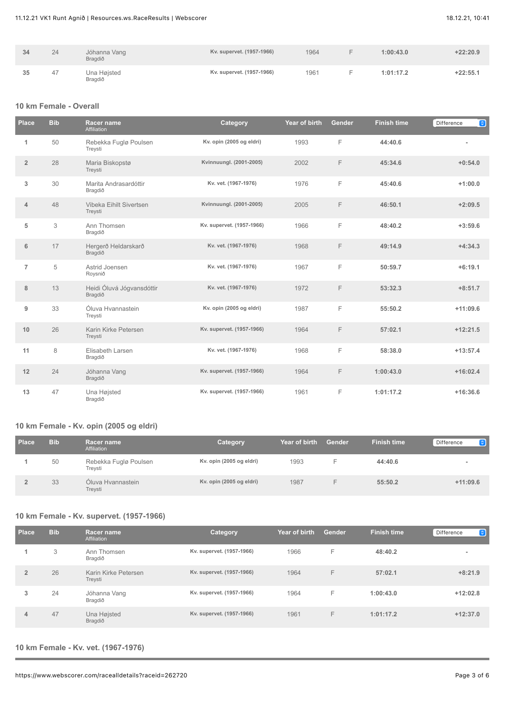| 34 | 24 | Jóhanna Vang<br>Bragdið | Kv. supervet. (1957-1966) | 1964 | 1:00:43.0 | $+22:20.9$ |
|----|----|-------------------------|---------------------------|------|-----------|------------|
| 35 | 47 | Una Højsted<br>Bragdið  | Kv. supervet. (1957-1966) | 1961 | 1:01:17.2 | $+22:55.1$ |

### **10 km Female - Overall**

| <b>Place</b>   | <b>Bib</b> | Racer name<br>Affiliation            | Category                  | Year of birth | <b>Gender</b> | <b>Finish time</b> | $\bullet$<br>Difference |
|----------------|------------|--------------------------------------|---------------------------|---------------|---------------|--------------------|-------------------------|
| $\mathbf{1}$   | 50         | Rebekka Fuglø Poulsen<br>Treysti     | Kv. opin (2005 og eldri)  | 1993          | F             | 44:40.6            |                         |
| $\overline{2}$ | 28         | Maria Biskopstø<br>Treysti           | Kvinnuungl. (2001-2005)   | 2002          | F             | 45:34.6            | $+0:54.0$               |
| 3              | 30         | Marita Andrasardóttir<br>Bragdið     | Kv. vet. (1967-1976)      | 1976          | F             | 45:40.6            | $+1:00.0$               |
| $\overline{4}$ | 48         | Vibeka Eihilt Sivertsen<br>Treysti   | Kvinnuungl. (2001-2005)   | 2005          | F             | 46:50.1            | $+2:09.5$               |
| 5              | 3          | Ann Thomsen<br>Bragdið               | Kv. supervet. (1957-1966) | 1966          | F             | 48:40.2            | $+3:59.6$               |
| 6              | 17         | Hergerð Heldarskarð<br>Bragdið       | Kv. vet. (1967-1976)      | 1968          | F             | 49:14.9            | $+4:34.3$               |
| $\overline{7}$ | 5          | Astrid Joensen<br>Roysnið            | Kv. vet. (1967-1976)      | 1967          | F             | 50:59.7            | $+6:19.1$               |
| 8              | 13         | Heidi Óluvá Jógvansdóttir<br>Bragdið | Kv. vet. (1967-1976)      | 1972          | F             | 53:32.3            | $+8:51.7$               |
| 9              | 33         | Óluva Hvannastein<br>Treysti         | Kv. opin (2005 og eldri)  | 1987          | F             | 55:50.2            | $+11:09.6$              |
| 10             | 26         | Karin Kirke Petersen<br>Treysti      | Kv. supervet. (1957-1966) | 1964          | F             | 57:02.1            | $+12:21.5$              |
| 11             | 8          | Elisabeth Larsen<br>Bragdið          | Kv. vet. (1967-1976)      | 1968          | F             | 58:38.0            | $+13:57.4$              |
| 12             | 24         | Jóhanna Vang<br>Bragdið              | Kv. supervet. (1957-1966) | 1964          | F             | 1:00:43.0          | $+16:02.4$              |
| 13             | 47         | Una Højsted<br>Bragdið               | Kv. supervet. (1957-1966) | 1961          | F             | 1:01:17.2          | $+16:36.6$              |

# **10 km Female - Kv. opin (2005 og eldri)**

| <b>Place</b> | <b>Bib</b> | Racer name<br>Affiliation        | Category                 | Year of birth | <b>Gender</b> | <b>Finish time</b> | $\bullet$<br>Difference |
|--------------|------------|----------------------------------|--------------------------|---------------|---------------|--------------------|-------------------------|
|              | 50         | Rebekka Fuglø Poulsen<br>Treysti | Kv. opin (2005 og eldri) | 1993          |               | 44:40.6            |                         |
|              | 33         | Oluva Hyannastein<br>Treysti     | Kv. opin (2005 og eldri) | 1987          |               | 55:50.2            | $+11:09.6$              |

### **10 km Female - Kv. supervet. (1957-1966)**

| Place          | <b>Bib</b> | Racer name<br>Affiliation       | Category                  | Year of birth | <b>Gender</b> | <b>Finish time</b> | Θ<br>Difference          |
|----------------|------------|---------------------------------|---------------------------|---------------|---------------|--------------------|--------------------------|
|                | 3          | Ann Thomsen<br>Bragdið          | Kv. supervet. (1957-1966) | 1966          | F             | 48:40.2            | $\overline{\phantom{a}}$ |
| $\overline{2}$ | 26         | Karin Kirke Petersen<br>Treysti | Kv. supervet. (1957-1966) | 1964          | F             | 57:02.1            | $+8:21.9$                |
| 3              | 24         | Jóhanna Vang<br>Bragdið         | Kv. supervet. (1957-1966) | 1964          | F             | 1:00:43.0          | $+12:02.8$               |
| 4              | 47         | Una Højsted<br>Bragdið          | Kv. supervet. (1957-1966) | 1961          | F             | 1:01:17.2          | $+12:37.0$               |

### **10 km Female - Kv. vet. (1967-1976)**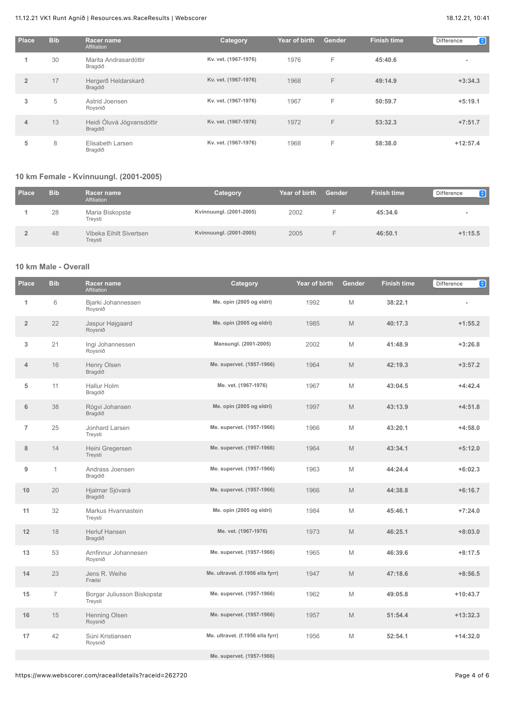### 11.12.21 VK1 Runt Agnið | Resources.ws.RaceResults | Webscorer 18.12.21, 10:41

| Place          | <b>Bib</b> | Racer name<br>Affiliation            | <b>Category</b>      | Year of birth | Gender | <b>Finish time</b> | $\bullet$<br>Difference  |
|----------------|------------|--------------------------------------|----------------------|---------------|--------|--------------------|--------------------------|
|                | 30         | Marita Andrasardóttir<br>Bragdið     | Kv. vet. (1967-1976) | 1976          | F      | 45:40.6            | $\overline{\phantom{a}}$ |
| $\overline{2}$ | 17         | Hergerð Heldarskarð<br>Bragdið       | Kv. vet. (1967-1976) | 1968          | F      | 49:14.9            | $+3:34.3$                |
| 3              | 5          | Astrid Joensen<br>Roysnið            | Kv. vet. (1967-1976) | 1967          | F      | 50:59.7            | $+5:19.1$                |
| 4              | 13         | Heidi Óluvá Jógvansdóttir<br>Bragdið | Kv. vet. (1967-1976) | 1972          | F      | 53:32.3            | $+7:51.7$                |
| 5              | 8          | Elisabeth Larsen<br>Bragdið          | Kv. vet. (1967-1976) | 1968          | F      | 58:38.0            | $+12:57.4$               |

### **10 km Female - Kvinnuungl. (2001-2005)**

| <b>Place</b> | <b>Bib</b> | <b>Racer name</b><br>Affiliation   | Category                | Year of birth | <b>Gender</b> | <b>Finish time</b> | $\bullet$<br>Difference  |
|--------------|------------|------------------------------------|-------------------------|---------------|---------------|--------------------|--------------------------|
|              | 28         | Maria Biskopstø<br>Treysti         | Kvinnuungl. (2001-2005) | 2002          |               | 45:34.6            | $\overline{\phantom{a}}$ |
|              | 48         | Vibeka Eihilt Sivertsen<br>Treysti | Kvinnuungl. (2001-2005) | 2005          |               | 46:50.1            | $+1:15.5$                |

## **10 km Male - Overall**

| <b>Place</b>   | <b>Bib</b>     | Racer name<br>Affiliation             | Category                         | Year of birth | Gender | <b>Finish time</b> | $\bullet$<br>Difference |
|----------------|----------------|---------------------------------------|----------------------------------|---------------|--------|--------------------|-------------------------|
| 1              | 6              | Bjarki Johannessen<br>Roysnið         | Me. opin (2005 og eldri)         | 1992          | M      | 38:22.1            |                         |
| $\overline{2}$ | 22             | Jaspur Højgaard<br>Roysnið            | Me. opin (2005 og eldri)         | 1985          | M      | 40:17.3            | $+1:55.2$               |
| 3              | 21             | Ingi Johannessen<br>Roysnið           | Mansungl. (2001-2005)            | 2002          | M      | 41:48.9            | $+3:26.8$               |
| 4              | 16             | Henry Olsen<br>Bragdið                | Me. supervet. (1957-1966)        | 1964          | M      | 42:19.3            | $+3:57.2$               |
| 5              | 11             | Hallur Holm<br>Bragdið                | Me. vet. (1967-1976)             | 1967          | M      | 43:04.5            | $+4:42.4$               |
| 6              | 38             | Rógvi Johansen<br>Bragdið             | Me. opin (2005 og eldri)         | 1997          | M      | 43:13.9            | $+4:51.8$               |
| $\overline{7}$ | 25             | Jonhard Larsen<br>Treysti             | Me. supervet. (1957-1966)        | 1966          | M      | 43:20.1            | $+4:58.0$               |
| 8              | 14             | Heini Gregersen<br>Treysti            | Me. supervet. (1957-1966)        | 1964          | M      | 43:34.1            | $+5:12.0$               |
| 9              | $\mathbf{1}$   | Andrass Joensen<br>Bragdið            | Me. supervet. (1957-1966)        | 1963          | M      | 44:24.4            | $+6:02.3$               |
| 10             | 20             | Hjalmar Sjóvará<br>Bragdið            | Me. supervet. (1957-1966)        | 1966          | M      | 44:38.8            | $+6:16.7$               |
| 11             | 32             | Markus Hvannastein<br>Treysti         | Me. opin (2005 og eldri)         | 1984          | M      | 45:46.1            | $+7:24.0$               |
| 12             | 18             | Herluf Hansen<br>Bragdið              | Me. vet. (1967-1976)             | 1973          | M      | 46:25.1            | $+8:03.0$               |
| 13             | 53             | Arnfinnur Johannesen<br>Roysnið       | Me. supervet. (1957-1966)        | 1965          | M      | 46:39.6            | $+8:17.5$               |
| 14             | 23             | Jens R. Weihe<br>Frælsi               | Me. ultravet. (f.1956 ella fyrr) | 1947          | M      | 47:18.6            | $+8:56.5$               |
| 15             | $\overline{7}$ | Borgar Juliusson Biskopstø<br>Treysti | Me. supervet. (1957-1966)        | 1962          | M      | 49:05.8            | $+10:43.7$              |
| 16             | 15             | Henning Olsen<br>Roysnið              | Me. supervet. (1957-1966)        | 1957          | M      | 51:54.4            | $+13:32.3$              |
| 17             | 42             | Súni Kristiansen<br>Roysnið           | Me. ultravet. (f.1956 ella fyrr) | 1956          | M      | 52:54.1            | $+14:32.0$              |
|                |                |                                       | Me. supervet. (1957-1966)        |               |        |                    |                         |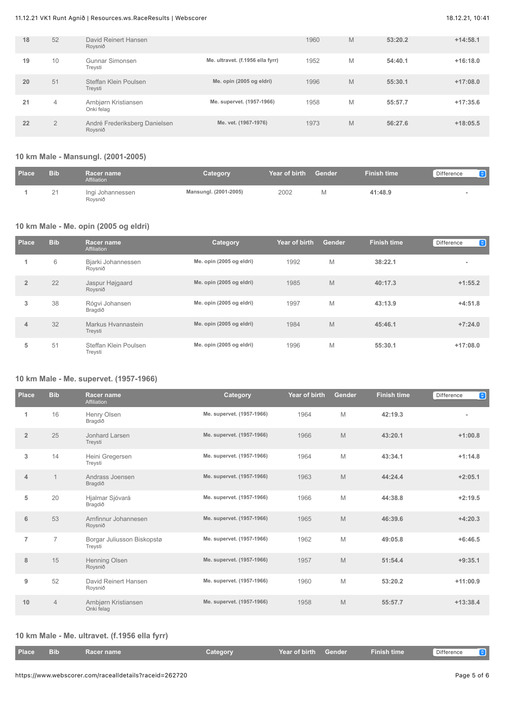### 11.12.21 VK1 Runt Agnið | Resources.ws.RaceResults | Webscorer 18.12.21, 10:41

| 18 | 52             | David Reinert Hansen<br>Roysnið          |                                  | 1960 | M | 53:20.2 | $+14:58.1$ |
|----|----------------|------------------------------------------|----------------------------------|------|---|---------|------------|
| 19 | 10             | Gunnar Simonsen<br>Treysti               | Me. ultravet. (f.1956 ella fyrr) | 1952 | M | 54:40.1 | $+16:18.0$ |
| 20 | 51             | Steffan Klein Poulsen<br>Treysti         | Me. opin (2005 og eldri)         | 1996 | M | 55:30.1 | $+17:08.0$ |
| 21 | $\overline{4}$ | Arnbjørn Kristiansen<br>Onki felag       | Me. supervet. (1957-1966)        | 1958 | M | 55:57.7 | $+17:35.6$ |
| 22 | $\overline{2}$ | André Frederiksberg Danielsen<br>Roysnið | Me. vet. (1967-1976)             | 1973 | M | 56:27.6 | $+18:05.5$ |

# **10 km Male - Mansungl. (2001-2005)**

| <b>Place</b> | <b>Bib</b> | Racer name<br>Affiliation   | Category              | Year of birth | Gender | <b>Finish time</b> | Difference<br>[e] |
|--------------|------------|-----------------------------|-----------------------|---------------|--------|--------------------|-------------------|
|              | 21         | Ingi Johannessen<br>Roysnið | Mansungl. (2001-2005) | 2002          |        | 41:48.9            |                   |

### **10 km Male - Me. opin (2005 og eldri)**

| Place          | <b>Bib</b> | Racer name<br>Affiliation        | <b>Category</b>          | Year of birth | Gender | <b>Finish time</b> | $\bullet$<br>Difference  |
|----------------|------------|----------------------------------|--------------------------|---------------|--------|--------------------|--------------------------|
|                | 6          | Bjarki Johannessen<br>Roysnið    | Me. opin (2005 og eldri) | 1992          | M      | 38:22.1            | $\overline{\phantom{a}}$ |
| $\overline{2}$ | 22         | Jaspur Højgaard<br>Roysnið       | Me. opin (2005 og eldri) | 1985          | M      | 40:17.3            | $+1:55.2$                |
| 3              | 38         | Rógvi Johansen<br>Bragdið        | Me. opin (2005 og eldri) | 1997          | M      | 43:13.9            | $+4:51.8$                |
| 4              | 32         | Markus Hvannastein<br>Treysti    | Me. opin (2005 og eldri) | 1984          | M      | 45:46.1            | $+7:24.0$                |
| 5              | 51         | Steffan Klein Poulsen<br>Treysti | Me. opin (2005 og eldri) | 1996          | M      | 55:30.1            | $+17:08.0$               |

#### **10 km Male - Me. supervet. (1957-1966)**

| <b>Place</b>   | <b>Bib</b>     | Racer name<br>Affiliation             | Category                  | Year of birth | Gender | <b>Finish time</b> | G<br>Difference |
|----------------|----------------|---------------------------------------|---------------------------|---------------|--------|--------------------|-----------------|
| 1              | 16             | Henry Olsen<br>Bragdið                | Me. supervet. (1957-1966) | 1964          | M      | 42:19.3            | $\blacksquare$  |
| $\overline{2}$ | 25             | Jonhard Larsen<br>Treysti             | Me. supervet. (1957-1966) | 1966          | M      | 43:20.1            | $+1:00.8$       |
| 3              | 14             | Heini Gregersen<br>Treysti            | Me. supervet. (1957-1966) | 1964          | M      | 43:34.1            | $+1:14.8$       |
| 4              | $\overline{1}$ | Andrass Joensen<br>Bragdið            | Me. supervet. (1957-1966) | 1963          | M      | 44:24.4            | $+2:05.1$       |
| 5              | 20             | Hjalmar Sjóvará<br>Bragdið            | Me. supervet. (1957-1966) | 1966          | M      | 44:38.8            | $+2:19.5$       |
| 6              | 53             | Arnfinnur Johannesen<br>Roysnið       | Me. supervet. (1957-1966) | 1965          | M      | 46:39.6            | $+4:20.3$       |
| $\overline{7}$ | $\overline{7}$ | Borgar Juliusson Biskopstø<br>Treysti | Me. supervet. (1957-1966) | 1962          | M      | 49:05.8            | $+6:46.5$       |
| 8              | 15             | Henning Olsen<br>Roysnið              | Me. supervet. (1957-1966) | 1957          | M      | 51:54.4            | $+9:35.1$       |
| 9              | 52             | David Reinert Hansen<br>Roysnið       | Me. supervet. (1957-1966) | 1960          | M      | 53:20.2            | $+11:00.9$      |
| 10             | $\overline{4}$ | Arnbjørn Kristiansen<br>Onki felag    | Me. supervet. (1957-1966) | 1958          | M      | 55:57.7            | $+13:38.4$      |

# **10 km Male - Me. ultravet. (f.1956 ella fyrr)**

| <b>Place</b> | <b>Bib</b> | Racer name | Category | Year of birth Gender | Finish time | Difference |  |
|--------------|------------|------------|----------|----------------------|-------------|------------|--|
|              |            |            |          |                      |             |            |  |